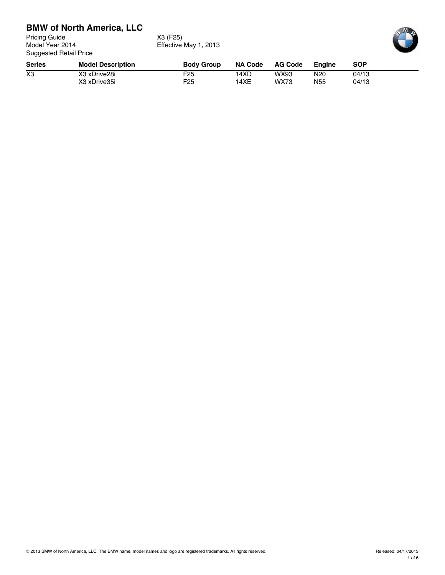Suggested Retail Price

Pricing Guide<br>
Model Year 2014<br>
Model Year 2014<br>
Cffective Effective May 1, 2013

| <b>Series</b>  | <b>Model Description</b> | <b>Body Group</b> | <b>NA Code</b> | <b>AG Code</b> | Engine          | <b>SOP</b> |
|----------------|--------------------------|-------------------|----------------|----------------|-----------------|------------|
| X <sub>3</sub> | X3 xDrive28i             | F <sub>25</sub>   | 14XD           | <b>WX93</b>    | N <sub>20</sub> | 04/13      |
|                | X3 xDrive35i             | F <sub>25</sub>   | 14XE           | <b>WX73</b>    | N <sub>55</sub> | 04/13      |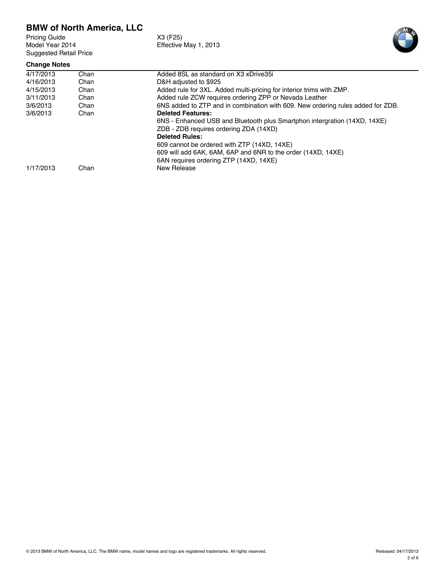Pricing Guide<br>
Model Year 2014<br>
Model Year 2014<br>
Cffective Suggested Retail Price

Effective May 1, 2013



#### **Change Notes**

| 4/17/2013 | Chan | Added 8SL as standard on X3 xDrive35i                                           |
|-----------|------|---------------------------------------------------------------------------------|
| 4/16/2013 | Chan | D&H adjusted to \$925                                                           |
| 4/15/2013 | Chan | Added rule for 3XL. Added multi-pricing for interior trims with ZMP.            |
| 3/11/2013 | Chan | Added rule ZCW requires ordering ZPP or Nevada Leather                          |
| 3/6/2013  | Chan | 6NS added to ZTP and in combination with 609. New ordering rules added for ZDB. |
| 3/6/2013  | Chan | <b>Deleted Features:</b>                                                        |
|           |      | 6NS - Enhanced USB and Bluetooth plus Smartphon intergration (14XD, 14XE)       |
|           |      | ZDB - ZDB requires ordering ZDA (14XD)                                          |
|           |      | <b>Deleted Rules:</b>                                                           |
|           |      | 609 cannot be ordered with ZTP (14XD, 14XE)                                     |
|           |      | 609 will add 6AK, 6AM, 6AP and 6NR to the order (14XD, 14XE)                    |
|           |      | 6AN requires ordering ZTP (14XD, 14XE)                                          |
| 1/17/2013 | Chan | New Release                                                                     |
|           |      |                                                                                 |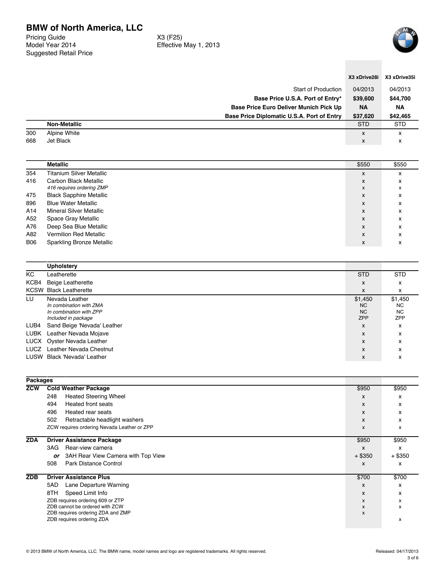Pricing Guide<br>
Model Year 2014<br>
Model Year 2014<br>
Settective Suggested Retail Price

Effective May 1, 2013



| ັ   |                     |                                               |              |              |
|-----|---------------------|-----------------------------------------------|--------------|--------------|
|     |                     |                                               |              |              |
|     |                     |                                               | X3 xDrive28i | X3 xDrive35i |
|     |                     | <b>Start of Production</b>                    | 04/2013      | 04/2013      |
|     |                     | Base Price U.S.A. Port of Entry*              | \$39,600     | \$44,700     |
|     |                     | <b>Base Price Euro Deliver Munich Pick Up</b> | <b>NA</b>    | <b>NA</b>    |
|     |                     | Base Price Diplomatic U.S.A. Port of Entry    | \$37,620     | \$42,465     |
|     | <b>Non-Metallic</b> |                                               | <b>STD</b>   | <b>STD</b>   |
| 300 | Alpine White        |                                               | X            | x            |
| 668 | Jet Black           |                                               | x            | x            |
|     |                     |                                               |              |              |
|     | <b>MAAAAH!A</b>     |                                               | <b>AFFO</b>  | <b>AFFO</b>  |

|            | <b>Metallic</b>                  | \$550 | \$550 |
|------------|----------------------------------|-------|-------|
| 354        | Titanium Silver Metallic         | X     | x     |
| 416        | Carbon Black Metallic            | X     | x     |
|            | 416 requires ordering ZMP        | X     | x     |
| 475        | <b>Black Sapphire Metallic</b>   | X     | x     |
| 896        | <b>Blue Water Metallic</b>       | X     | x     |
| A14        | Mineral Silver Metallic          | X     | x     |
| A52        | Space Gray Metallic              | X     | x     |
| A76        | Deep Sea Blue Metallic           | X     | x     |
| A82        | <b>Vermilion Red Metallic</b>    | X     | x     |
| <b>B06</b> | <b>Sparkling Bronze Metallic</b> | x     | x     |
|            |                                  |       |       |

|      | <b>Upholstery</b>                                                                           |                                     |                              |
|------|---------------------------------------------------------------------------------------------|-------------------------------------|------------------------------|
| KC   | Leatherette                                                                                 | <b>STD</b>                          | <b>STD</b>                   |
| KCB4 | <b>Beige Leatherette</b>                                                                    | X                                   | x                            |
|      | <b>KCSW Black Leatherette</b>                                                               | X                                   | x                            |
| LU.  | Nevada Leather<br>In combination with ZMA<br>In combination with ZPP<br>Included in package | \$1,450<br>NC.<br>NC.<br><b>ZPP</b> | \$1,450<br>NC.<br>NC.<br>ZPP |
| LUB4 | Sand Beige 'Nevada' Leather                                                                 | X                                   | x                            |
| LUBK | Leather Nevada Mojave                                                                       | X                                   | x                            |
|      | LUCX Oyster Nevada Leather                                                                  | X                                   | x                            |
| LUCZ | Leather Nevada Chestnut                                                                     | X                                   | x                            |
|      | LUSW Black 'Nevada' Leather                                                                 | X                                   | x                            |

| <b>Packages</b> |                             |                                                                |           |           |
|-----------------|-----------------------------|----------------------------------------------------------------|-----------|-----------|
| <b>ZCW</b>      | <b>Cold Weather Package</b> |                                                                |           | \$950     |
|                 | 248                         | <b>Heated Steering Wheel</b>                                   | X         | x         |
|                 | 494                         | Heated front seats                                             | X         | x         |
|                 | 496                         | Heated rear seats                                              | X         | x         |
|                 | 502                         | Retractable headlight washers                                  | X         | x         |
|                 |                             | ZCW requires ordering Nevada Leather or ZPP                    | X         | x         |
| ZDA             |                             | <b>Driver Assistance Package</b>                               | \$950     | \$950     |
|                 | 3AG                         | Rear-view camera                                               | X         | x         |
|                 | or                          | 3AH Rear View Camera with Top View                             | $+$ \$350 | $+$ \$350 |
|                 | 508                         | Park Distance Control                                          | X         | x         |
| <b>ZDB</b>      |                             | <b>Driver Assistance Plus</b>                                  | \$700     | \$700     |
|                 | 5AD                         | Lane Departure Warning                                         | X         | х         |
|                 | 8TH                         | Speed Limit Info                                               | X         | x         |
|                 |                             | ZDB requires ordering 609 or ZTP                               | X         | x         |
|                 |                             | ZDB cannot be ordered with ZCW                                 | X         | x         |
|                 |                             | ZDB requires ordering ZDA and ZMP<br>ZDB requires ordering ZDA | X         | x         |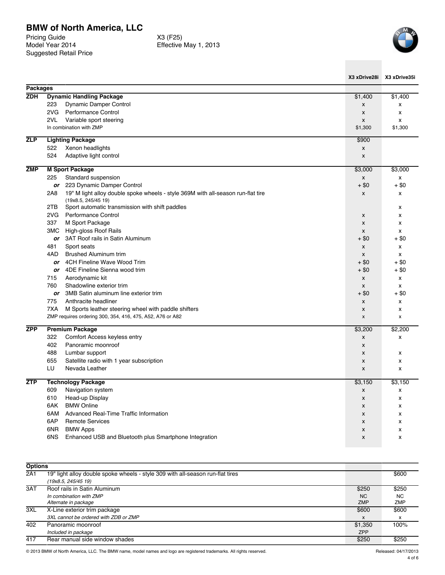# Pricing Guide<br>
Model Year 2014<br>
Model Year 2014<br>
Cffective Suggested Retail Price

Effective May 1, 2013



|                 |           |                                                                                                        | X3 xDrive28i   | X3 xDrive35i   |
|-----------------|-----------|--------------------------------------------------------------------------------------------------------|----------------|----------------|
| <b>Packages</b> |           |                                                                                                        |                |                |
| <b>ZDH</b>      |           | <b>Dynamic Handling Package</b>                                                                        | \$1,400        | \$1,400        |
|                 | 223       | Dynamic Damper Control                                                                                 | X              | X              |
|                 | 2VG       | Performance Control                                                                                    | X              | x              |
|                 | 2VL       | Variable sport steering                                                                                | X              | X              |
|                 |           | In combination with ZMP                                                                                | \$1,300        | \$1,300        |
| <b>ZLP</b>      |           | <b>Lighting Package</b>                                                                                | \$900          |                |
|                 | 522       | Xenon headlights                                                                                       | X              |                |
|                 | 524       | Adaptive light control                                                                                 | X              |                |
| <b>ZMP</b>      |           | <b>M Sport Package</b>                                                                                 | \$3,000        | \$3,000        |
|                 | 225       |                                                                                                        |                |                |
|                 |           | Standard suspension                                                                                    | X              | x              |
|                 | <b>or</b> | 223 Dynamic Damper Control                                                                             | $+ $0$         | $+ $0$         |
|                 | 2A8       | 19" M light alloy double spoke wheels - style 369M with all-season run-flat tire<br>(19x8.5, 245/4519) | X              | X              |
|                 | 2TB       | Sport automatic transmission with shift paddles                                                        |                | X              |
|                 | 2VG       | Performance Control                                                                                    | X              | x              |
|                 | 337       | M Sport Package                                                                                        | X              | X              |
|                 | ЗМС       | High-gloss Roof Rails                                                                                  | X              | X              |
|                 | or        | 3AT Roof rails in Satin Aluminum                                                                       | $+ \$0$        | $+ \$0$        |
|                 | 481       | Sport seats                                                                                            | X              | X              |
|                 | 4AD       | <b>Brushed Aluminum trim</b>                                                                           | X              | X              |
|                 | <b>or</b> | 4CH Fineline Wave Wood Trim                                                                            | $+ \$0$        | $+ $0$         |
|                 | or        | 4DE Fineline Sienna wood trim                                                                          | $+$ \$0        | $+$ \$0        |
|                 | 715       | Aerodynamic kit                                                                                        | X              | x              |
|                 | 760       | Shadowline exterior trim                                                                               | X              | X              |
|                 | or        | 3MB Satin aluminum line exterior trim                                                                  | $+ \$0$        | $+ $0$         |
|                 | 775       | Anthracite headliner                                                                                   | x              | x              |
|                 | 7XA       | M Sports leather steering wheel with paddle shifters                                                   | x              | X              |
|                 |           | ZMP requires ordering 300, 354, 416, 475, A52, A76 or A82                                              | $\pmb{\times}$ | x              |
| <b>ZPP</b>      |           |                                                                                                        | \$3,200        | \$2,200        |
|                 | 322       | <b>Premium Package</b><br>Comfort Access keyless entry                                                 |                |                |
|                 | 402       | Panoramic moonroof                                                                                     | X<br>X         | $\pmb{\times}$ |
|                 | 488       | Lumbar support                                                                                         |                |                |
|                 | 655       |                                                                                                        | X              | X              |
|                 | LU        | Satellite radio with 1 year subscription<br>Nevada Leather                                             | X              | x              |
|                 |           |                                                                                                        | X              | X              |
| <b>ZTP</b>      |           | <b>Technology Package</b>                                                                              | \$3,150        | \$3,150        |
|                 | 609       | Navigation system                                                                                      | X              | x              |
|                 | 610       | Head-up Display                                                                                        | X              | X              |
|                 | 6AK       | <b>BMW Online</b>                                                                                      | X              | x              |
|                 | 6AM       | Advanced Real-Time Traffic Information                                                                 | X              | x              |
|                 | 6AP       | <b>Remote Services</b>                                                                                 | X              | X              |
|                 | 6NR       | <b>BMW Apps</b>                                                                                        | X              | X              |
|                 | 6NS       | Enhanced USB and Bluetooth plus Smartphone Integration                                                 | X              | X              |

| <b>Options</b> |                                                                                |            |                |
|----------------|--------------------------------------------------------------------------------|------------|----------------|
| 2A1            | 19" light alloy double spoke wheels - style 309 with all-season run-flat tires |            | \$600          |
|                | (19x8.5, 245/45 19)                                                            |            |                |
| 3AT            | Roof rails in Satin Aluminum                                                   | \$250      | \$250          |
|                | In combination with ZMP                                                        | NC.        | N <sub>C</sub> |
|                | Alternate in package                                                           | <b>ZMP</b> | ZMP            |
| 3XL            | X-Line exterior trim package                                                   | \$600      | \$600          |
|                | 3XL cannot be ordered with ZDB or ZMP                                          | X          | x              |
| 402            | Panoramic moonroof                                                             | \$1,350    | 100%           |
|                | Included in package                                                            | <b>ZPP</b> |                |
| 417            | Rear manual side window shades                                                 | \$250      | \$250          |

© 2013 BMW of North America, LLC. The BMW name, model names and logo are registered trademarks. All rights reserved.<br>
© 2013 BMW of North America, LLC. The BMW name, model names and logo are registered trademarks. All righ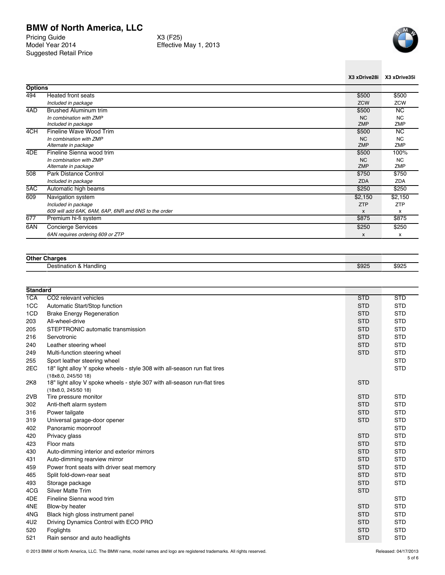Pricing Guide<br>
Model Year 2014<br>
Model Year 2014<br>
Cffective Suggested Retail Price

Effective May 1, 2013



**X3 xDrive28i X3 xDrive35i**

| <b>Options</b> |                                                      |                  |            |
|----------------|------------------------------------------------------|------------------|------------|
| 494            | Heated front seats                                   | \$500            | \$500      |
|                | Included in package                                  | <b>ZCW</b>       | <b>ZCW</b> |
| 4AD            | <b>Brushed Aluminum trim</b>                         | \$500            | <b>NC</b>  |
|                | In combination with ZMP                              | <b>NC</b>        | <b>NC</b>  |
|                | Included in package                                  | <b>ZMP</b>       | <b>ZMP</b> |
| 4CH            | Fineline Wave Wood Trim                              | \$500            | <b>NC</b>  |
|                | In combination with ZMP                              | <b>NC</b>        | <b>NC</b>  |
|                | Alternate in package                                 | <b>ZMP</b>       | <b>ZMP</b> |
| 4DE            | Fineline Sienna wood trim                            | \$500            | 100%       |
|                | In combination with ZMP                              | <b>NC</b>        | <b>NC</b>  |
|                | Alternate in package                                 | <b>ZMP</b>       | <b>ZMP</b> |
| 508            | Park Distance Control                                | \$750            | \$750      |
|                | Included in package                                  | <b>ZDA</b>       | <b>ZDA</b> |
| 5AC            | Automatic high beams                                 | \$250            | \$250      |
| 609            | Navigation system                                    | \$2,150          | \$2,150    |
|                | Included in package                                  | <b>ZTP</b>       | <b>ZTP</b> |
|                | 609 will add 6AK, 6AM, 6AP, 6NR and 6NS to the order | X                | x          |
| 677            | Premium hi-fi system                                 | \$875            | \$875      |
| 6AN            | Concierge Services                                   | \$250            | \$250      |
|                | 6AN requires ordering 609 or ZTP                     | $\boldsymbol{x}$ | x          |

| Other Unit<br>. <b>.</b><br>Chardes     |              |                     |
|-----------------------------------------|--------------|---------------------|
| <br>Handling<br>Destination<br>$\cdots$ | COOF<br>৯৬∠ং | -----<br>.59<br>$-$ |

| <b>Standard</b> |                                                                           |            |            |
|-----------------|---------------------------------------------------------------------------|------------|------------|
| 1CA             | CO <sub>2</sub> relevant vehicles                                         | <b>STD</b> | <b>STD</b> |
| 1CC             | Automatic Start/Stop function                                             | <b>STD</b> | <b>STD</b> |
| 1CD             | <b>Brake Energy Regeneration</b>                                          | <b>STD</b> | <b>STD</b> |
| 203             | All-wheel-drive                                                           | <b>STD</b> | <b>STD</b> |
| 205             | STEPTRONIC automatic transmission                                         | <b>STD</b> | <b>STD</b> |
| 216             | Servotronic                                                               | <b>STD</b> | <b>STD</b> |
| 240             | Leather steering wheel                                                    | <b>STD</b> | <b>STD</b> |
| 249             | Multi-function steering wheel                                             | <b>STD</b> | <b>STD</b> |
| 255             | Sport leather steering wheel                                              |            | <b>STD</b> |
| 2EC             | 18" light alloy Y spoke wheels - style 308 with all-season run flat tires |            | <b>STD</b> |
|                 | (18x8.0, 245/50 18)                                                       |            |            |
| 2K8             | 18" light alloy V spoke wheels - style 307 with all-season run-flat tires | <b>STD</b> |            |
|                 | (18x8.0, 245/50 18)                                                       |            |            |
| 2VB             | Tire pressure monitor                                                     | <b>STD</b> | <b>STD</b> |
| 302             | Anti-theft alarm system                                                   | <b>STD</b> | <b>STD</b> |
| 316             | Power tailgate                                                            | <b>STD</b> | <b>STD</b> |
| 319             | Universal garage-door opener                                              | <b>STD</b> | <b>STD</b> |
| 402             | Panoramic moonroof                                                        |            | <b>STD</b> |
| 420             | Privacy glass                                                             | <b>STD</b> | <b>STD</b> |
| 423             | Floor mats                                                                | <b>STD</b> | <b>STD</b> |
| 430             | Auto-dimming interior and exterior mirrors                                | <b>STD</b> | <b>STD</b> |
| 431             | Auto-dimming rearview mirror                                              | <b>STD</b> | <b>STD</b> |
| 459             | Power front seats with driver seat memory                                 | <b>STD</b> | <b>STD</b> |
| 465             | Split fold-down-rear seat                                                 | <b>STD</b> | <b>STD</b> |
| 493             | Storage package                                                           | <b>STD</b> | <b>STD</b> |
| 4CG             | <b>Silver Matte Trim</b>                                                  | <b>STD</b> |            |
| 4DE             | Fineline Sienna wood trim                                                 |            | <b>STD</b> |
| 4NE             | Blow-by heater                                                            | <b>STD</b> | <b>STD</b> |
| 4NG             | Black high gloss instrument panel                                         | <b>STD</b> | <b>STD</b> |
| 4U2             | Driving Dynamics Control with ECO PRO                                     | <b>STD</b> | <b>STD</b> |
| 520             | Foglights                                                                 | <b>STD</b> | <b>STD</b> |
| 521             | Rain sensor and auto headlights                                           | <b>STD</b> | <b>STD</b> |